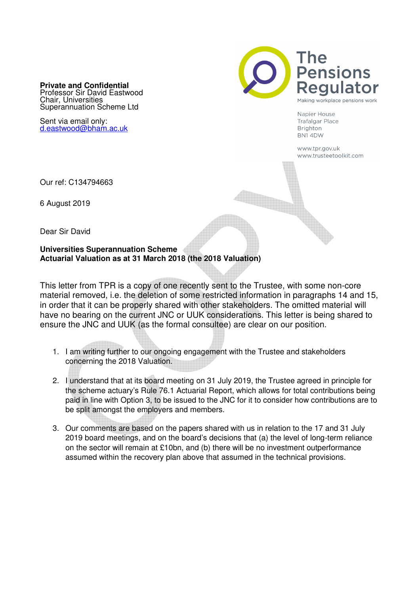**Private and Confidential**  Professor Sir David Eastwood Chair, Universities Superannuation Scheme Ltd

Sent via email only: d.eastwood@bham.ac.uk



Napier House **Trafalgar Place Brighton** BN14DW

www.tpr.gov.uk www.trusteetoolkit.com

Our ref: C134794663

6 August 2019

Dear Sir David

#### **Universities Superannuation Scheme Actuarial Valuation as at 31 March 2018 (the 2018 Valuation)**

This letter from TPR is a copy of one recently sent to the Trustee, with some non-core material removed, i.e. the deletion of some restricted information in paragraphs 14 and 15, in order that it can be properly shared with other stakeholders. The omitted material will have no bearing on the current JNC or UUK considerations. This letter is being shared to ensure the JNC and UUK (as the formal consultee) are clear on our position.

- 1. I am writing further to our ongoing engagement with the Trustee and stakeholders concerning the 2018 Valuation.
- 2. I understand that at its board meeting on 31 July 2019, the Trustee agreed in principle for the scheme actuary's Rule 76.1 Actuarial Report, which allows for total contributions being paid in line with Option 3, to be issued to the JNC for it to consider how contributions are to be split amongst the employers and members.
- 3. Our comments are based on the papers shared with us in relation to the 17 and 31 July 2019 board meetings, and on the board's decisions that (a) the level of long-term reliance on the sector will remain at £10bn, and (b) there will be no investment outperformance assumed within the recovery plan above that assumed in the technical provisions.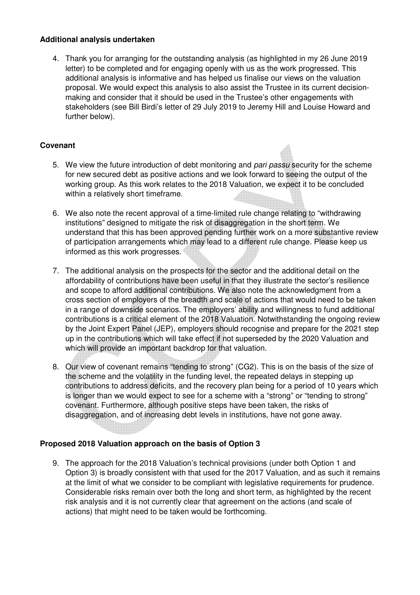## **Additional analysis undertaken**

4. Thank you for arranging for the outstanding analysis (as highlighted in my 26 June 2019 letter) to be completed and for engaging openly with us as the work progressed. This additional analysis is informative and has helped us finalise our views on the valuation proposal. We would expect this analysis to also assist the Trustee in its current decisionmaking and consider that it should be used in the Trustee's other engagements with stakeholders (see Bill Birdi's letter of 29 July 2019 to Jeremy Hill and Louise Howard and further below).

## **Covenant**

- 5. We view the future introduction of debt monitoring and pari passu security for the scheme for new secured debt as positive actions and we look forward to seeing the output of the working group. As this work relates to the 2018 Valuation, we expect it to be concluded within a relatively short timeframe.
- 6. We also note the recent approval of a time-limited rule change relating to "withdrawing institutions" designed to mitigate the risk of disaggregation in the short term. We understand that this has been approved pending further work on a more substantive review of participation arrangements which may lead to a different rule change. Please keep us informed as this work progresses.
- 7. The additional analysis on the prospects for the sector and the additional detail on the affordability of contributions have been useful in that they illustrate the sector's resilience and scope to afford additional contributions. We also note the acknowledgment from a cross section of employers of the breadth and scale of actions that would need to be taken in a range of downside scenarios. The employers' ability and willingness to fund additional contributions is a critical element of the 2018 Valuation. Notwithstanding the ongoing review by the Joint Expert Panel (JEP), employers should recognise and prepare for the 2021 step up in the contributions which will take effect if not superseded by the 2020 Valuation and which will provide an important backdrop for that valuation.
- 8. Our view of covenant remains "tending to strong" (CG2). This is on the basis of the size of the scheme and the volatility in the funding level, the repeated delays in stepping up contributions to address deficits, and the recovery plan being for a period of 10 years which is longer than we would expect to see for a scheme with a "strong" or "tending to strong" covenant. Furthermore, although positive steps have been taken, the risks of disaggregation, and of increasing debt levels in institutions, have not gone away.

## **Proposed 2018 Valuation approach on the basis of Option 3**

9. The approach for the 2018 Valuation's technical provisions (under both Option 1 and Option 3) is broadly consistent with that used for the 2017 Valuation, and as such it remains at the limit of what we consider to be compliant with legislative requirements for prudence. Considerable risks remain over both the long and short term, as highlighted by the recent risk analysis and it is not currently clear that agreement on the actions (and scale of actions) that might need to be taken would be forthcoming.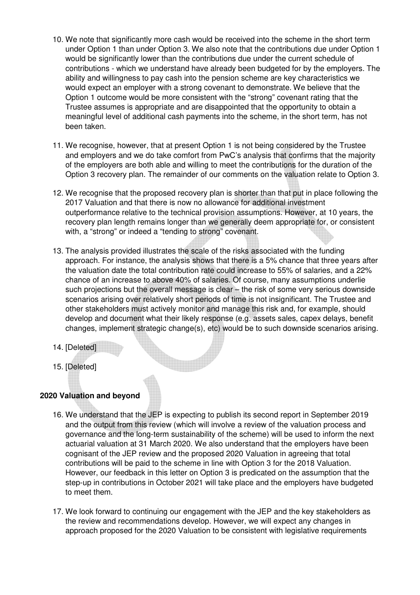- 10. We note that significantly more cash would be received into the scheme in the short term under Option 1 than under Option 3. We also note that the contributions due under Option 1 would be significantly lower than the contributions due under the current schedule of contributions - which we understand have already been budgeted for by the employers. The ability and willingness to pay cash into the pension scheme are key characteristics we would expect an employer with a strong covenant to demonstrate. We believe that the Option 1 outcome would be more consistent with the "strong" covenant rating that the Trustee assumes is appropriate and are disappointed that the opportunity to obtain a meaningful level of additional cash payments into the scheme, in the short term, has not been taken.
- 11. We recognise, however, that at present Option 1 is not being considered by the Trustee and employers and we do take comfort from PwC's analysis that confirms that the majority of the employers are both able and willing to meet the contributions for the duration of the Option 3 recovery plan. The remainder of our comments on the valuation relate to Option 3.
- 12. We recognise that the proposed recovery plan is shorter than that put in place following the 2017 Valuation and that there is now no allowance for additional investment outperformance relative to the technical provision assumptions. However, at 10 years, the recovery plan length remains longer than we generally deem appropriate for, or consistent with, a "strong" or indeed a "tending to strong" covenant.
- 13. The analysis provided illustrates the scale of the risks associated with the funding approach. For instance, the analysis shows that there is a 5% chance that three years after the valuation date the total contribution rate could increase to 55% of salaries, and a 22% chance of an increase to above 40% of salaries. Of course, many assumptions underlie such projections but the overall message is clear – the risk of some very serious downside scenarios arising over relatively short periods of time is not insignificant. The Trustee and other stakeholders must actively monitor and manage this risk and, for example, should develop and document what their likely response (e.g. assets sales, capex delays, benefit changes, implement strategic change(s), etc) would be to such downside scenarios arising.
- 14. [Deleted]
- 15. [Deleted]

# **2020 Valuation and beyond**

- 16. We understand that the JEP is expecting to publish its second report in September 2019 and the output from this review (which will involve a review of the valuation process and governance and the long-term sustainability of the scheme) will be used to inform the next actuarial valuation at 31 March 2020. We also understand that the employers have been cognisant of the JEP review and the proposed 2020 Valuation in agreeing that total contributions will be paid to the scheme in line with Option 3 for the 2018 Valuation. However, our feedback in this letter on Option 3 is predicated on the assumption that the step-up in contributions in October 2021 will take place and the employers have budgeted to meet them.
- 17. We look forward to continuing our engagement with the JEP and the key stakeholders as the review and recommendations develop. However, we will expect any changes in approach proposed for the 2020 Valuation to be consistent with legislative requirements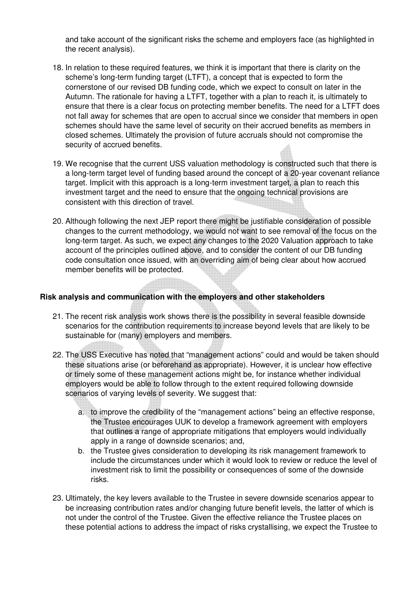and take account of the significant risks the scheme and employers face (as highlighted in the recent analysis).

- 18. In relation to these required features, we think it is important that there is clarity on the scheme's long-term funding target (LTFT), a concept that is expected to form the cornerstone of our revised DB funding code, which we expect to consult on later in the Autumn. The rationale for having a LTFT, together with a plan to reach it, is ultimately to ensure that there is a clear focus on protecting member benefits. The need for a LTFT does not fall away for schemes that are open to accrual since we consider that members in open schemes should have the same level of security on their accrued benefits as members in closed schemes. Ultimately the provision of future accruals should not compromise the security of accrued benefits.
- 19. We recognise that the current USS valuation methodology is constructed such that there is a long-term target level of funding based around the concept of a 20-year covenant reliance target. Implicit with this approach is a long-term investment target, a plan to reach this investment target and the need to ensure that the ongoing technical provisions are consistent with this direction of travel.
- 20. Although following the next JEP report there might be justifiable consideration of possible changes to the current methodology, we would not want to see removal of the focus on the long-term target. As such, we expect any changes to the 2020 Valuation approach to take account of the principles outlined above, and to consider the content of our DB funding code consultation once issued, with an overriding aim of being clear about how accrued member benefits will be protected.

# **Risk analysis and communication with the employers and other stakeholders**

- 21. The recent risk analysis work shows there is the possibility in several feasible downside scenarios for the contribution requirements to increase beyond levels that are likely to be sustainable for (many) employers and members.
- 22. The USS Executive has noted that "management actions" could and would be taken should these situations arise (or beforehand as appropriate). However, it is unclear how effective or timely some of these management actions might be, for instance whether individual employers would be able to follow through to the extent required following downside scenarios of varying levels of severity. We suggest that:
	- a. to improve the credibility of the "management actions" being an effective response, the Trustee encourages UUK to develop a framework agreement with employers that outlines a range of appropriate mitigations that employers would individually apply in a range of downside scenarios; and,
	- b. the Trustee gives consideration to developing its risk management framework to include the circumstances under which it would look to review or reduce the level of investment risk to limit the possibility or consequences of some of the downside risks.
- 23. Ultimately, the key levers available to the Trustee in severe downside scenarios appear to be increasing contribution rates and/or changing future benefit levels, the latter of which is not under the control of the Trustee. Given the effective reliance the Trustee places on these potential actions to address the impact of risks crystallising, we expect the Trustee to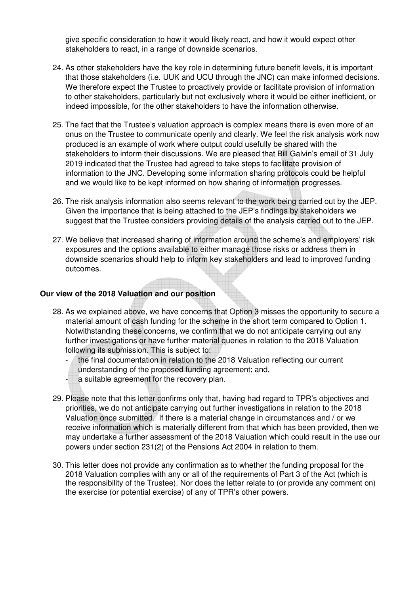give specific consideration to how it would likely react, and how it would expect other stakeholders to react, in a range of downside scenarios.

- 24. As other stakeholders have the key role in determining future benefit levels, it is important that those stakeholders (i.e. UUK and UCU through the JNC) can make informed decisions. We therefore expect the Trustee to proactively provide or facilitate provision of information to other stakeholders, particularly but not exclusively where it would be either inefficient, or indeed impossible, for the other stakeholders to have the information otherwise.
- 25. The fact that the Trustee's valuation approach is complex means there is even more of an onus on the Trustee to communicate openly and clearly. We feel the risk analysis work now produced is an example of work where output could usefully be shared with the stakeholders to inform their discussions. We are pleased that Bill Galvin's email of 31 July 2019 indicated that the Trustee had agreed to take steps to facilitate provision of information to the JNC. Developing some information sharing protocols could be helpful and we would like to be kept informed on how sharing of information progresses.
- 26. The risk analysis information also seems relevant to the work being carried out by the JEP. Given the importance that is being attached to the JEP's findings by stakeholders we suggest that the Trustee considers providing details of the analysis carried out to the JEP.
- 27. We believe that increased sharing of information around the scheme's and employers' risk exposures and the options available to either manage those risks or address them in downside scenarios should help to inform key stakeholders and lead to improved funding outcomes.

### **Our view of the 2018 Valuation and our position**

- 28. As we explained above, we have concerns that Option 3 misses the opportunity to secure a material amount of cash funding for the scheme in the short term compared to Option 1. Notwithstanding these concerns, we confirm that we do not anticipate carrying out any further investigations or have further material queries in relation to the 2018 Valuation following its submission. This is subject to:
	- the final documentation in relation to the 2018 Valuation reflecting our current
	- understanding of the proposed funding agreement; and,
	- a suitable agreement for the recovery plan.
- 29. Please note that this letter confirms only that, having had regard to TPR's objectives and priorities, we do not anticipate carrying out further investigations in relation to the 2018 Valuation once submitted. If there is a material change in circumstances and / or we receive information which is materially different from that which has been provided, then we may undertake a further assessment of the 2018 Valuation which could result in the use our powers under section 231(2) of the Pensions Act 2004 in relation to them.
- 30. This letter does not provide any confirmation as to whether the funding proposal for the 2018 Valuation complies with any or all of the requirements of Part 3 of the Act (which is the responsibility of the Trustee). Nor does the letter relate to (or provide any comment on) the exercise (or potential exercise) of any of TPR's other powers.